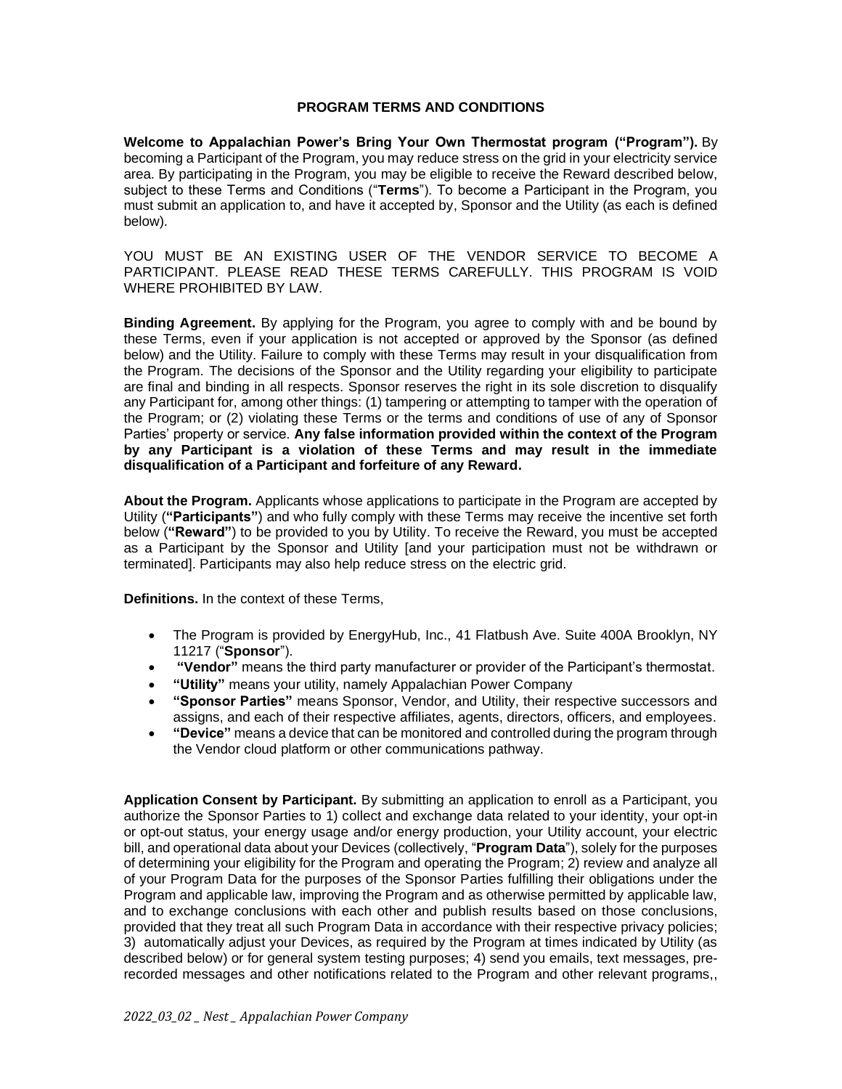## **PROGRAM TERMS AND CONDITIONS**

**Welcome to Appalachian Power's Bring Your Own Thermostat program ("Program").** By becoming a Participant of the Program, you may reduce stress on the grid in your electricity service area. By participating in the Program, you may be eligible to receive the Reward described below, subject to these Terms and Conditions ("**Terms**"). To become a Participant in the Program, you must submit an application to, and have it accepted by, Sponsor and the Utility (as each is defined below).

YOU MUST BE AN EXISTING USER OF THE VENDOR SERVICE TO BECOME A PARTICIPANT. PLEASE READ THESE TERMS CAREFULLY. THIS PROGRAM IS VOID WHERE PROHIBITED BY LAW.

**Binding Agreement.** By applying for the Program, you agree to comply with and be bound by these Terms, even if your application is not accepted or approved by the Sponsor (as defined below) and the Utility. Failure to comply with these Terms may result in your disqualification from the Program. The decisions of the Sponsor and the Utility regarding your eligibility to participate are final and binding in all respects. Sponsor reserves the right in its sole discretion to disqualify any Participant for, among other things: (1) tampering or attempting to tamper with the operation of the Program; or (2) violating these Terms or the terms and conditions of use of any of Sponsor Parties' property or service. **Any false information provided within the context of the Program by any Participant is a violation of these Terms and may result in the immediate disqualification of a Participant and forfeiture of any Reward.**

**About the Program.** Applicants whose applications to participate in the Program are accepted by Utility (**"Participants"**) and who fully comply with these Terms may receive the incentive set forth below (**"Reward"**) to be provided to you by Utility. To receive the Reward, you must be accepted as a Participant by the Sponsor and Utility [and your participation must not be withdrawn or terminated]. Participants may also help reduce stress on the electric grid.

**Definitions.** In the context of these Terms,

- The Program is provided by EnergyHub, Inc., 41 Flatbush Ave. Suite 400A Brooklyn, NY 11217 ("**Sponsor**").
- **"Vendor"** means the third party manufacturer or provider of the Participant's thermostat.
- **"Utility"** means your utility, namely Appalachian Power Company
- **"Sponsor Parties"** means Sponsor, Vendor, and Utility, their respective successors and assigns, and each of their respective affiliates, agents, directors, officers, and employees.
- **"Device"** means a device that can be monitored and controlled during the program through the Vendor cloud platform or other communications pathway.

**Application Consent by Participant.** By submitting an application to enroll as a Participant, you authorize the Sponsor Parties to 1) collect and exchange data related to your identity, your opt-in or opt-out status, your energy usage and/or energy production, your Utility account, your electric bill, and operational data about your Devices (collectively, "**Program Data**"), solely for the purposes of determining your eligibility for the Program and operating the Program; 2) review and analyze all of your Program Data for the purposes of the Sponsor Parties fulfilling their obligations under the Program and applicable law, improving the Program and as otherwise permitted by applicable law, and to exchange conclusions with each other and publish results based on those conclusions, provided that they treat all such Program Data in accordance with their respective privacy policies; 3) automatically adjust your Devices, as required by the Program at times indicated by Utility (as described below) or for general system testing purposes; 4) send you emails, text messages, prerecorded messages and other notifications related to the Program and other relevant programs,,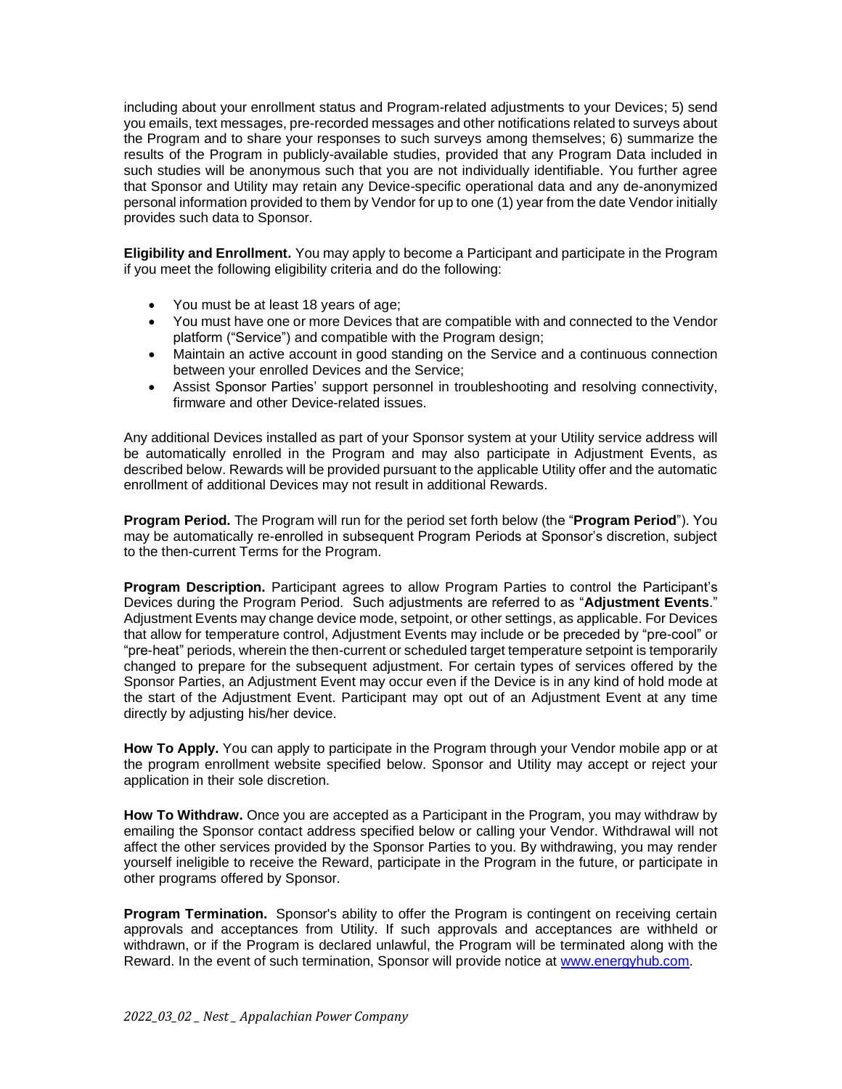including about your enrollment status and Program-related adjustments to your Devices; 5) send you emails, text messages, pre-recorded messages and other notifications related to surveys about the Program and to share your responses to such surveys among themselves; 6) summarize the results of the Program in publicly-available studies, provided that any Program Data included in such studies will be anonymous such that you are not individually identifiable. You further agree that Sponsor and Utility may retain any Device-specific operational data and any de-anonymized personal information provided to them by Vendor for up to one (1) year from the date Vendor initially provides such data to Sponsor.

**Eligibility and Enrollment.** You may apply to become a Participant and participate in the Program if you meet the following eligibility criteria and do the following:

- You must be at least 18 years of age;
- You must have one or more Devices that are compatible with and connected to the Vendor platform ("Service") and compatible with the Program design;
- Maintain an active account in good standing on the Service and a continuous connection between your enrolled Devices and the Service;
- Assist Sponsor Parties' support personnel in troubleshooting and resolving connectivity, firmware and other Device-related issues.

Any additional Devices installed as part of your Sponsor system at your Utility service address will be automatically enrolled in the Program and may also participate in Adjustment Events, as described below. Rewards will be provided pursuant to the applicable Utility offer and the automatic enrollment of additional Devices may not result in additional Rewards.

**Program Period.** The Program will run for the period set forth below (the "**Program Period**"). You may be automatically re-enrolled in subsequent Program Periods at Sponsor's discretion, subject to the then-current Terms for the Program.

**Program Description.** Participant agrees to allow Program Parties to control the Participant's Devices during the Program Period. Such adjustments are referred to as "**Adjustment Events**." Adjustment Events may change device mode, setpoint, or other settings, as applicable. For Devices that allow for temperature control, Adjustment Events may include or be preceded by "pre-cool" or "pre-heat" periods, wherein the then-current or scheduled target temperature setpoint is temporarily changed to prepare for the subsequent adjustment. For certain types of services offered by the Sponsor Parties, an Adjustment Event may occur even if the Device is in any kind of hold mode at the start of the Adjustment Event. Participant may opt out of an Adjustment Event at any time directly by adjusting his/her device.

**How To Apply.** You can apply to participate in the Program through your Vendor mobile app or at the program enrollment website specified below. Sponsor and Utility may accept or reject your application in their sole discretion.

**How To Withdraw.** Once you are accepted as a Participant in the Program, you may withdraw by emailing the Sponsor contact address specified below or calling your Vendor. Withdrawal will not affect the other services provided by the Sponsor Parties to you. By withdrawing, you may render yourself ineligible to receive the Reward, participate in the Program in the future, or participate in other programs offered by Sponsor.

**Program Termination.** Sponsor's ability to offer the Program is contingent on receiving certain approvals and acceptances from Utility. If such approvals and acceptances are withheld or withdrawn, or if the Program is declared unlawful, the Program will be terminated along with the Reward. In the event of such termination, Sponsor will provide notice at [www.energyhub.com.](http://www.energyhub.com/)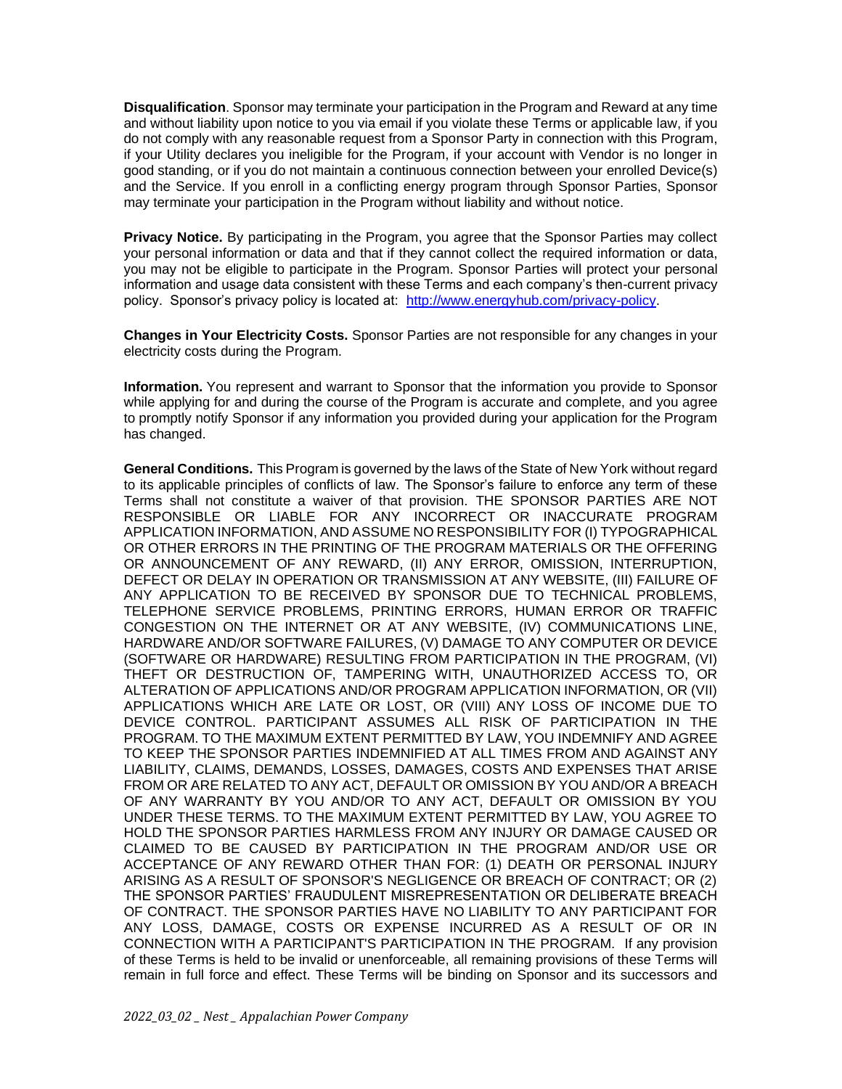**Disqualification**. Sponsor may terminate your participation in the Program and Reward at any time and without liability upon notice to you via email if you violate these Terms or applicable law, if you do not comply with any reasonable request from a Sponsor Party in connection with this Program, if your Utility declares you ineligible for the Program, if your account with Vendor is no longer in good standing, or if you do not maintain a continuous connection between your enrolled Device(s) and the Service. If you enroll in a conflicting energy program through Sponsor Parties, Sponsor may terminate your participation in the Program without liability and without notice.

**Privacy Notice.** By participating in the Program, you agree that the Sponsor Parties may collect your personal information or data and that if they cannot collect the required information or data, you may not be eligible to participate in the Program. Sponsor Parties will protect your personal information and usage data consistent with these Terms and each company's then-current privacy policy. Sponsor's privacy policy is located at: [http://www.energyhub.com/privacy-policy.](http://www.energyhub.com/privacy-policy)

**Changes in Your Electricity Costs.** Sponsor Parties are not responsible for any changes in your electricity costs during the Program.

**Information.** You represent and warrant to Sponsor that the information you provide to Sponsor while applying for and during the course of the Program is accurate and complete, and you agree to promptly notify Sponsor if any information you provided during your application for the Program has changed.

**General Conditions.** This Program is governed by the laws of the State of New York without regard to its applicable principles of conflicts of law. The Sponsor's failure to enforce any term of these Terms shall not constitute a waiver of that provision. THE SPONSOR PARTIES ARE NOT RESPONSIBLE OR LIABLE FOR ANY INCORRECT OR INACCURATE PROGRAM APPLICATION INFORMATION, AND ASSUME NO RESPONSIBILITY FOR (I) TYPOGRAPHICAL OR OTHER ERRORS IN THE PRINTING OF THE PROGRAM MATERIALS OR THE OFFERING OR ANNOUNCEMENT OF ANY REWARD, (II) ANY ERROR, OMISSION, INTERRUPTION, DEFECT OR DELAY IN OPERATION OR TRANSMISSION AT ANY WEBSITE, (III) FAILURE OF ANY APPLICATION TO BE RECEIVED BY SPONSOR DUE TO TECHNICAL PROBLEMS, TELEPHONE SERVICE PROBLEMS, PRINTING ERRORS, HUMAN ERROR OR TRAFFIC CONGESTION ON THE INTERNET OR AT ANY WEBSITE, (IV) COMMUNICATIONS LINE, HARDWARE AND/OR SOFTWARE FAILURES, (V) DAMAGE TO ANY COMPUTER OR DEVICE (SOFTWARE OR HARDWARE) RESULTING FROM PARTICIPATION IN THE PROGRAM, (VI) THEFT OR DESTRUCTION OF, TAMPERING WITH, UNAUTHORIZED ACCESS TO, OR ALTERATION OF APPLICATIONS AND/OR PROGRAM APPLICATION INFORMATION, OR (VII) APPLICATIONS WHICH ARE LATE OR LOST, OR (VIII) ANY LOSS OF INCOME DUE TO DEVICE CONTROL. PARTICIPANT ASSUMES ALL RISK OF PARTICIPATION IN THE PROGRAM. TO THE MAXIMUM EXTENT PERMITTED BY LAW, YOU INDEMNIFY AND AGREE TO KEEP THE SPONSOR PARTIES INDEMNIFIED AT ALL TIMES FROM AND AGAINST ANY LIABILITY, CLAIMS, DEMANDS, LOSSES, DAMAGES, COSTS AND EXPENSES THAT ARISE FROM OR ARE RELATED TO ANY ACT, DEFAULT OR OMISSION BY YOU AND/OR A BREACH OF ANY WARRANTY BY YOU AND/OR TO ANY ACT, DEFAULT OR OMISSION BY YOU UNDER THESE TERMS. TO THE MAXIMUM EXTENT PERMITTED BY LAW, YOU AGREE TO HOLD THE SPONSOR PARTIES HARMLESS FROM ANY INJURY OR DAMAGE CAUSED OR CLAIMED TO BE CAUSED BY PARTICIPATION IN THE PROGRAM AND/OR USE OR ACCEPTANCE OF ANY REWARD OTHER THAN FOR: (1) DEATH OR PERSONAL INJURY ARISING AS A RESULT OF SPONSOR'S NEGLIGENCE OR BREACH OF CONTRACT; OR (2) THE SPONSOR PARTIES' FRAUDULENT MISREPRESENTATION OR DELIBERATE BREACH OF CONTRACT. THE SPONSOR PARTIES HAVE NO LIABILITY TO ANY PARTICIPANT FOR ANY LOSS, DAMAGE, COSTS OR EXPENSE INCURRED AS A RESULT OF OR IN CONNECTION WITH A PARTICIPANT'S PARTICIPATION IN THE PROGRAM. If any provision of these Terms is held to be invalid or unenforceable, all remaining provisions of these Terms will remain in full force and effect. These Terms will be binding on Sponsor and its successors and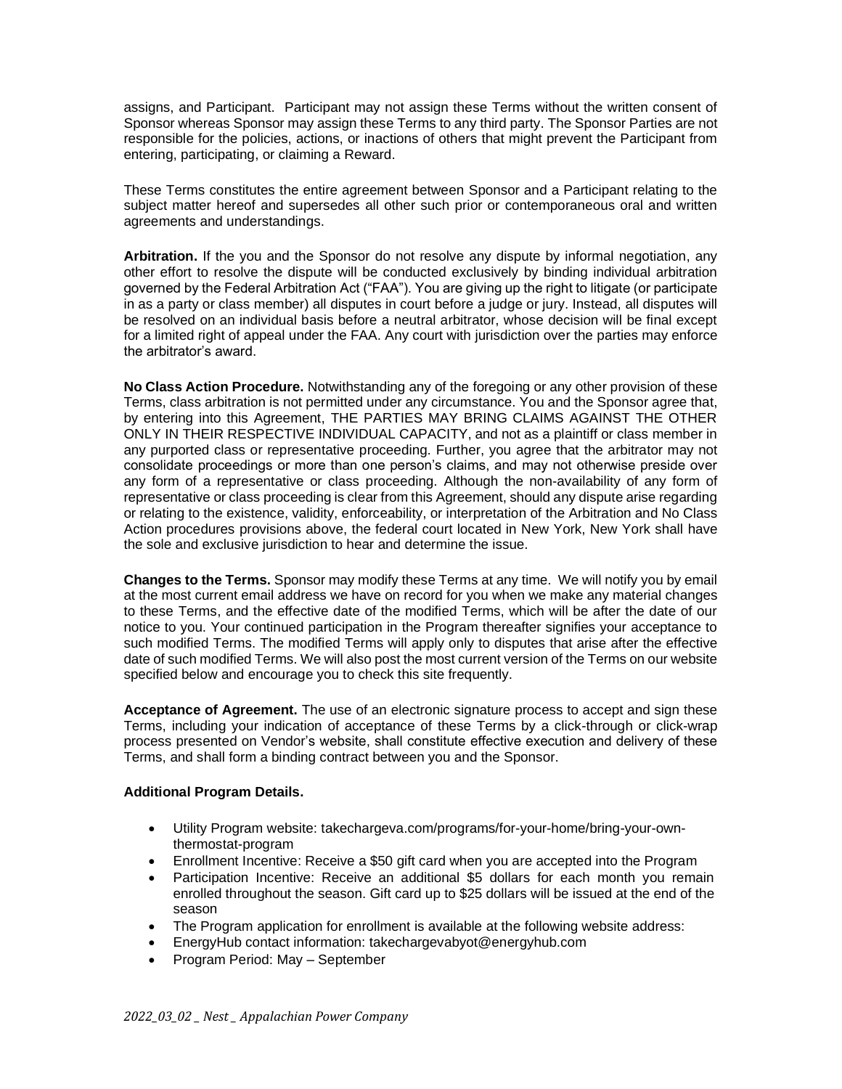assigns, and Participant. Participant may not assign these Terms without the written consent of Sponsor whereas Sponsor may assign these Terms to any third party. The Sponsor Parties are not responsible for the policies, actions, or inactions of others that might prevent the Participant from entering, participating, or claiming a Reward.

These Terms constitutes the entire agreement between Sponsor and a Participant relating to the subject matter hereof and supersedes all other such prior or contemporaneous oral and written agreements and understandings.

**Arbitration.** If the you and the Sponsor do not resolve any dispute by informal negotiation, any other effort to resolve the dispute will be conducted exclusively by binding individual arbitration governed by the Federal Arbitration Act ("FAA"). You are giving up the right to litigate (or participate in as a party or class member) all disputes in court before a judge or jury. Instead, all disputes will be resolved on an individual basis before a neutral arbitrator, whose decision will be final except for a limited right of appeal under the FAA. Any court with jurisdiction over the parties may enforce the arbitrator's award.

**No Class Action Procedure.** Notwithstanding any of the foregoing or any other provision of these Terms, class arbitration is not permitted under any circumstance. You and the Sponsor agree that, by entering into this Agreement, THE PARTIES MAY BRING CLAIMS AGAINST THE OTHER ONLY IN THEIR RESPECTIVE INDIVIDUAL CAPACITY, and not as a plaintiff or class member in any purported class or representative proceeding. Further, you agree that the arbitrator may not consolidate proceedings or more than one person's claims, and may not otherwise preside over any form of a representative or class proceeding. Although the non-availability of any form of representative or class proceeding is clear from this Agreement, should any dispute arise regarding or relating to the existence, validity, enforceability, or interpretation of the Arbitration and No Class Action procedures provisions above, the federal court located in New York, New York shall have the sole and exclusive jurisdiction to hear and determine the issue.

**Changes to the Terms.** Sponsor may modify these Terms at any time. We will notify you by email at the most current email address we have on record for you when we make any material changes to these Terms, and the effective date of the modified Terms, which will be after the date of our notice to you. Your continued participation in the Program thereafter signifies your acceptance to such modified Terms. The modified Terms will apply only to disputes that arise after the effective date of such modified Terms. We will also post the most current version of the Terms on our website specified below and encourage you to check this site frequently.

**Acceptance of Agreement.** The use of an electronic signature process to accept and sign these Terms, including your indication of acceptance of these Terms by a click-through or click-wrap process presented on Vendor's website, shall constitute effective execution and delivery of these Terms, and shall form a binding contract between you and the Sponsor.

## **Additional Program Details.**

- Utility Program website: takechargeva.com/programs/for-your-home/bring-your-ownthermostat-program
- Enrollment Incentive: Receive a \$50 gift card when you are accepted into the Program
- Participation Incentive: Receive an additional \$5 dollars for each month you remain enrolled throughout the season. Gift card up to \$25 dollars will be issued at the end of the season
- The Program application for enrollment is available at the following website address:
- EnergyHub contact information: takechargevabyot@energyhub.com
- Program Period: May September